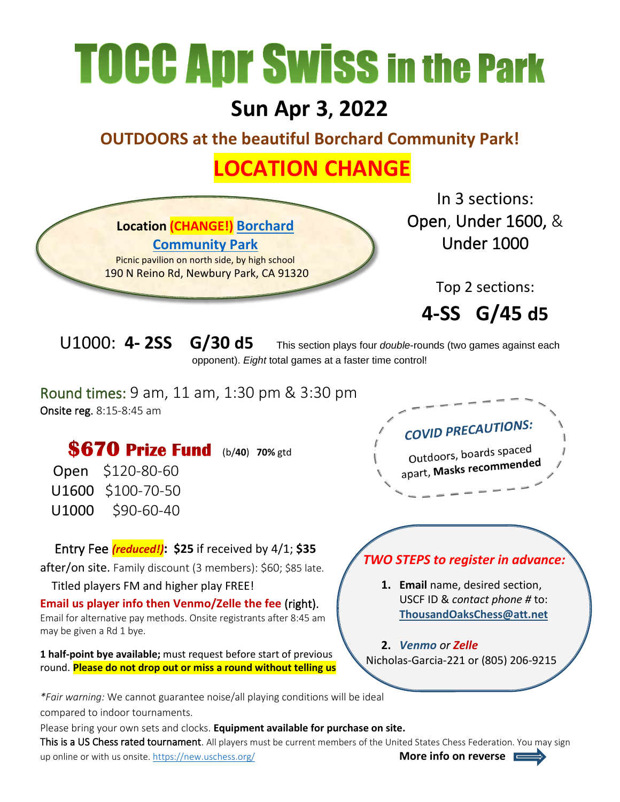## **TOCC Apr Swiss in the Park**

## **Sun Apr 3, 2022**

**OUTDOORS at the beautiful Borchard Community Park!**

## **LOCATION CHANGE**



U1000: **4- 2SS G/30 d5** This section plays four *double*-rounds (two games against each opponent). *Eight* total games at a faster time control!

Round times: 9 am, 11 am, 1:30 pm & 3:30 pm Onsite reg. 8:15-8:45 am

**\$670 Prize Fund** (b/40) 70% gtd

Open \$120-80-60 U1600 \$100-70-50 U1000 \$90-60-40

Entry Fee *(reduced!)***: \$25** if received by 4/1; **\$35**

after/on site. Family discount (3 members): \$60; \$85 late.

Titled players FM and higher play FREE!

**Email us player info then Venmo/Zelle the fee** (right). Email for alternative pay methods. Onsite registrants after 8:45 am may be given a Rd 1 bye.

**1 half-point bye available;** must request before start of previous round. **Please do not drop out or miss a round without telling us**

*\*Fair warning:* We cannot guarantee noise/all playing conditions will be ideal

compared to indoor tournaments.

Please bring your own sets and clocks. **Equipment available for purchase on site.**

This is a US Chess rated tournament. All players must be current members of the United States Chess Federation. You may sign up online or with us onsite.<https://new.uschess.org/>**More info on reverse**

**COVID PRECAUTIONS:** Outdoors, boards spaced **Outdoors, boditum**<br>apart, Masks recommended

## *TWO STEPS to register in advance:*

**1. Email** name, desired section, USCF ID & *contact phone #* to: **[ThousandOaksChess@att.net](mailto:ThousandOaksChess@att.net)**

**2.** *Venmo or Zelle* Nicholas-Garcia-221 or (805) 206-9215